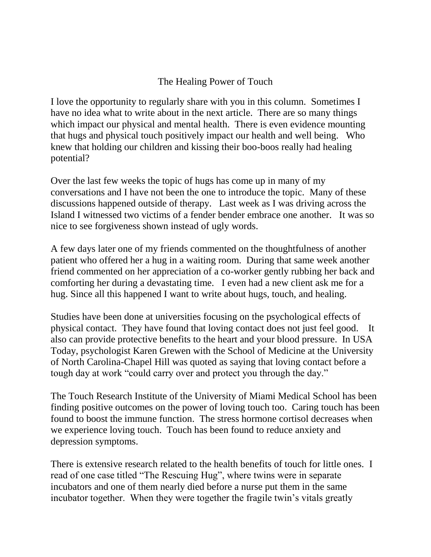## The Healing Power of Touch

I love the opportunity to regularly share with you in this column. Sometimes I have no idea what to write about in the next article. There are so many things which impact our physical and mental health. There is even evidence mounting that hugs and physical touch positively impact our health and well being. Who knew that holding our children and kissing their boo-boos really had healing potential?

Over the last few weeks the topic of hugs has come up in many of my conversations and I have not been the one to introduce the topic. Many of these discussions happened outside of therapy. Last week as I was driving across the Island I witnessed two victims of a fender bender embrace one another. It was so nice to see forgiveness shown instead of ugly words.

A few days later one of my friends commented on the thoughtfulness of another patient who offered her a hug in a waiting room. During that same week another friend commented on her appreciation of a co-worker gently rubbing her back and comforting her during a devastating time. I even had a new client ask me for a hug. Since all this happened I want to write about hugs, touch, and healing.

Studies have been done at universities focusing on the psychological effects of physical contact. They have found that loving contact does not just feel good. It also can provide protective benefits to the heart and your blood pressure. In USA Today, psychologist Karen Grewen with the School of Medicine at the University of North Carolina-Chapel Hill was quoted as saying that loving contact before a tough day at work "could carry over and protect you through the day."

The Touch Research Institute of the University of Miami Medical School has been finding positive outcomes on the power of loving touch too. Caring touch has been found to boost the immune function. The stress hormone cortisol decreases when we experience loving touch. Touch has been found to reduce anxiety and depression symptoms.

There is extensive research related to the health benefits of touch for little ones. I read of one case titled "The Rescuing Hug", where twins were in separate incubators and one of them nearly died before a nurse put them in the same incubator together. When they were together the fragile twin's vitals greatly